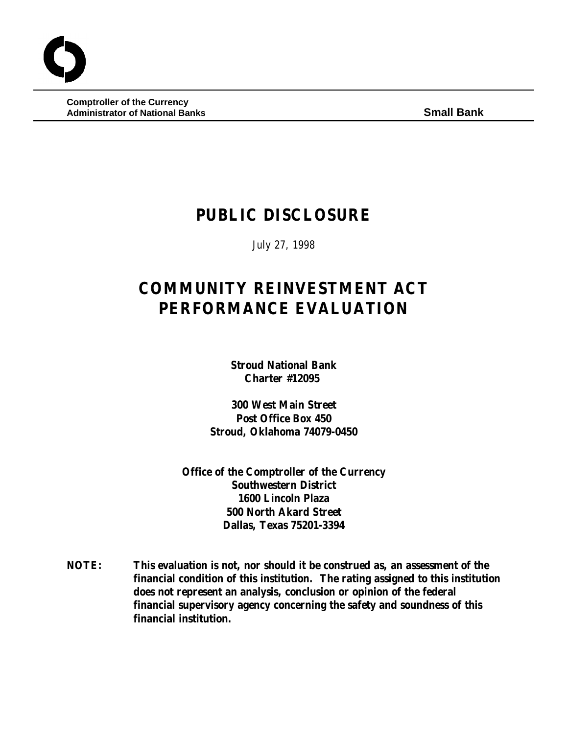**Comptroller of the Currency Administrator of National Banks Small Bank**

# **PUBLIC DISCLOSURE**

July 27, 1998

# **COMMUNITY REINVESTMENT ACT PERFORMANCE EVALUATION**

**Stroud National Bank Charter #12095** 

**300 West Main Street Post Office Box 450 Stroud, Oklahoma 74079-0450**

**Office of the Comptroller of the Currency Southwestern District 1600 Lincoln Plaza 500 North Akard Street Dallas, Texas 75201-3394**

**NOTE: This evaluation is not, nor should it be construed as, an assessment of the financial condition of this institution. The rating assigned to this institution does not represent an analysis, conclusion or opinion of the federal financial supervisory agency concerning the safety and soundness of this financial institution.**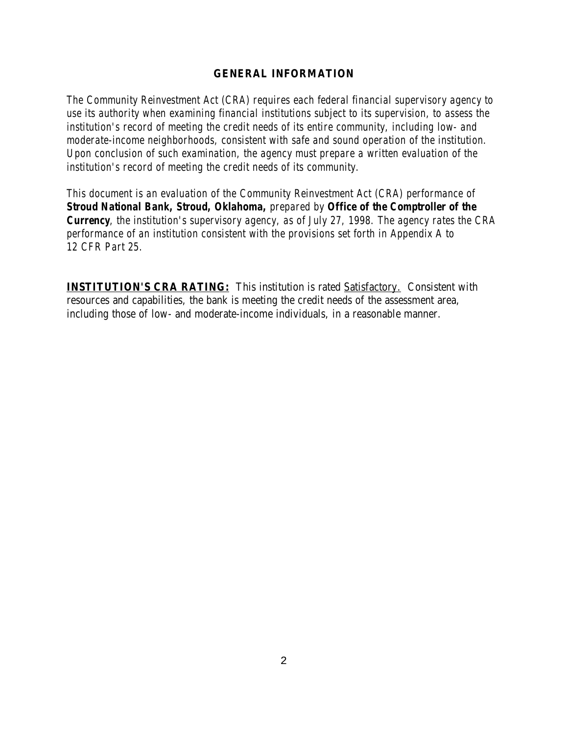#### **GENERAL INFORMATION**

*The Community Reinvestment Act (CRA) requires each federal financial supervisory agency to use its authority when examining financial institutions subject to its supervision, to assess the institution's record of meeting the credit needs of its entire community, including low- and moderate-income neighborhoods, consistent with safe and sound operation of the institution. Upon conclusion of such examination, the agency must prepare a written evaluation of the institution's record of meeting the credit needs of its community.* 

*This document is an evaluation of the Community Reinvestment Act (CRA) performance of Stroud National Bank, Stroud, Oklahoma, prepared by Office of the Comptroller of the Currency, the institution's supervisory agency, as of July 27, 1998. The agency rates the CRA performance of an institution consistent with the provisions set forth in Appendix A to 12 CFR Part 25.*

**INSTITUTION'S CRA RATING:** This institution is rated Satisfactory. Consistent with resources and capabilities, the bank is meeting the credit needs of the assessment area, including those of low- and moderate-income individuals, in a reasonable manner.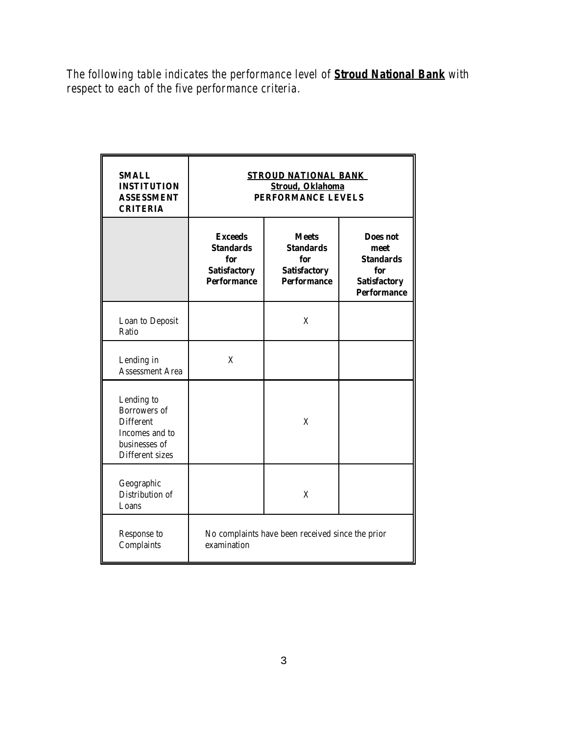*The following table indicates the performance level of Stroud National Bank with respect to each of the five performance criteria.*

| <b>SMALL</b><br><b>INSTITUTION</b><br><b>ASSESSMENT</b><br><b>CRITERIA</b>                                  | <b>STROUD NATIONAL BANK</b><br><b>Stroud, Oklahoma</b><br><b>PERFORMANCE LEVELS</b>    |                                                                                      |                                                                                          |  |
|-------------------------------------------------------------------------------------------------------------|----------------------------------------------------------------------------------------|--------------------------------------------------------------------------------------|------------------------------------------------------------------------------------------|--|
|                                                                                                             | <b>Exceeds</b><br><b>Standards</b><br>for<br><b>Satisfactory</b><br><b>Performance</b> | <b>Meets</b><br><b>Standards</b><br>for<br><b>Satisfactory</b><br><b>Performance</b> | Does not<br>meet<br><b>Standards</b><br>for<br><b>Satisfactory</b><br><b>Performance</b> |  |
| Loan to Deposit<br>Ratio                                                                                    |                                                                                        | X                                                                                    |                                                                                          |  |
| Lending in<br><b>Assessment Area</b>                                                                        | X                                                                                      |                                                                                      |                                                                                          |  |
| Lending to<br><b>Borrowers</b> of<br><b>Different</b><br>Incomes and to<br>businesses of<br>Different sizes |                                                                                        | X                                                                                    |                                                                                          |  |
| Geographic<br>Distribution of<br>Loans                                                                      |                                                                                        | X                                                                                    |                                                                                          |  |
| Response to<br>Complaints                                                                                   | No complaints have been received since the prior<br>examination                        |                                                                                      |                                                                                          |  |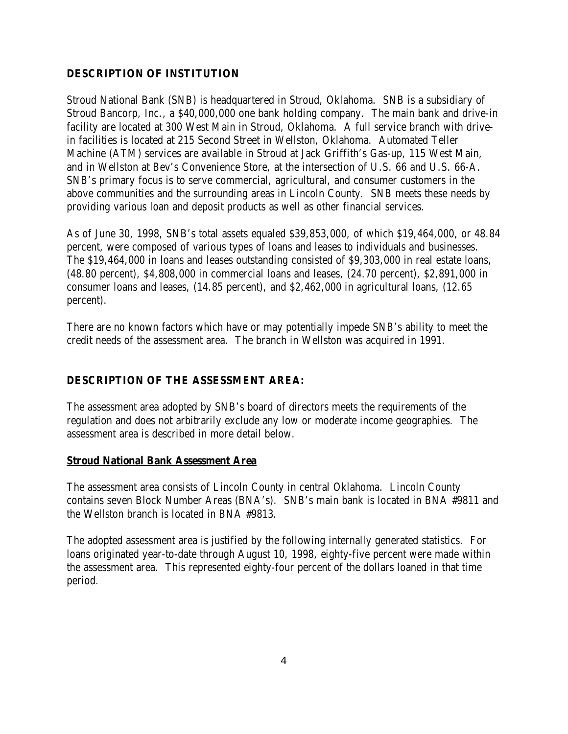#### **DESCRIPTION OF INSTITUTION**

Stroud National Bank (SNB) is headquartered in Stroud, Oklahoma. SNB is a subsidiary of Stroud Bancorp, Inc., a \$40,000,000 one bank holding company. The main bank and drive-in facility are located at 300 West Main in Stroud, Oklahoma. A full service branch with drivein facilities is located at 215 Second Street in Wellston, Oklahoma. Automated Teller Machine (ATM) services are available in Stroud at Jack Griffith's Gas-up, 115 West Main, and in Wellston at Bev's Convenience Store, at the intersection of U.S. 66 and U.S. 66-A. SNB's primary focus is to serve commercial, agricultural, and consumer customers in the above communities and the surrounding areas in Lincoln County. SNB meets these needs by providing various loan and deposit products as well as other financial services.

As of June 30, 1998, SNB's total assets equaled \$39,853,000, of which \$19,464,000, or 48.84 percent, were composed of various types of loans and leases to individuals and businesses. The \$19,464,000 in loans and leases outstanding consisted of \$9,303,000 in real estate loans, (48.80 percent), \$4,808,000 in commercial loans and leases, (24.70 percent), \$2,891,000 in consumer loans and leases, (14.85 percent), and \$2,462,000 in agricultural loans, (12.65 percent).

There are no known factors which have or may potentially impede SNB's ability to meet the credit needs of the assessment area. The branch in Wellston was acquired in 1991.

#### **DESCRIPTION OF THE ASSESSMENT AREA:**

The assessment area adopted by SNB's board of directors meets the requirements of the regulation and does not arbitrarily exclude any low or moderate income geographies. The assessment area is described in more detail below.

#### **Stroud National Bank Assessment Area**

The assessment area consists of Lincoln County in central Oklahoma. Lincoln County contains seven Block Number Areas (BNA's). SNB's main bank is located in BNA #9811 and the Wellston branch is located in BNA #9813.

The adopted assessment area is justified by the following internally generated statistics. For loans originated year-to-date through August 10, 1998, eighty-five percent were made within the assessment area. This represented eighty-four percent of the dollars loaned in that time period.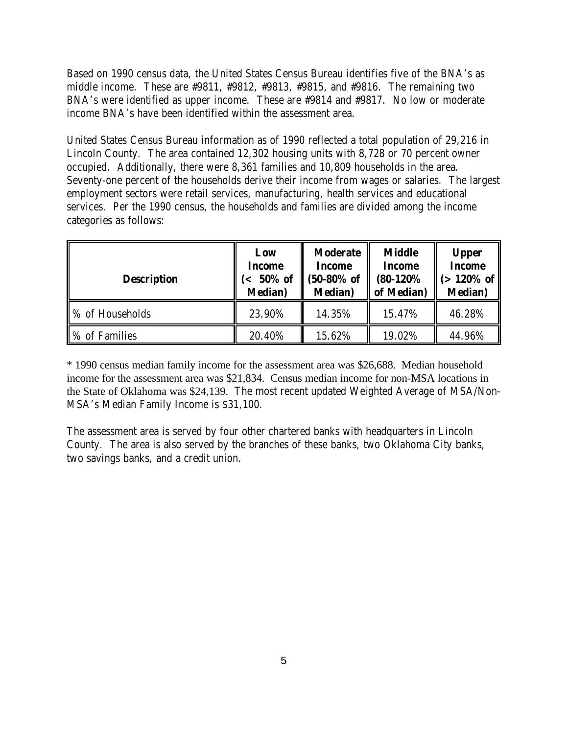Based on 1990 census data, the United States Census Bureau identifies five of the BNA's as middle income. These are #9811, #9812, #9813, #9815, and #9816. The remaining two BNA's were identified as upper income. These are #9814 and #9817. No low or moderate income BNA's have been identified within the assessment area.

United States Census Bureau information as of 1990 reflected a total population of 29,216 in Lincoln County. The area contained 12,302 housing units with 8,728 or 70 percent owner occupied. Additionally, there were 8,361 families and 10,809 households in the area. Seventy-one percent of the households derive their income from wages or salaries. The largest employment sectors were retail services, manufacturing, health services and educational services. Per the 1990 census, the households and families are divided among the income categories as follows:

| <b>Description</b> | Low<br>Income<br>50% of<br>$\epsilon$<br><b>Median</b> ) | <b>Moderate</b><br><b>Income</b><br>$(50-80%$ of<br><b>Median</b> ) | <b>Middle</b><br>Income<br>$(80-120\%$<br>of Median) | <b>Upper</b><br><b>Income</b><br>$(>120\%$ of $ $<br><b>Median</b> ) |
|--------------------|----------------------------------------------------------|---------------------------------------------------------------------|------------------------------------------------------|----------------------------------------------------------------------|
| % of Households    | 23.90%                                                   | 14.35%                                                              | 15.47%                                               | 46.28%                                                               |
| ■% of Families     | 20.40%                                                   | 15.62%                                                              | 19.02%                                               | 44.96%                                                               |

\* 1990 census median family income for the assessment area was \$26,688. Median household income for the assessment area was \$21,834. Census median income for non-MSA locations in the State of Oklahoma was \$24,139. The most recent updated Weighted Average of MSA/Non-MSA's Median Family Income is \$31,100.

The assessment area is served by four other chartered banks with headquarters in Lincoln County. The area is also served by the branches of these banks, two Oklahoma City banks, two savings banks, and a credit union.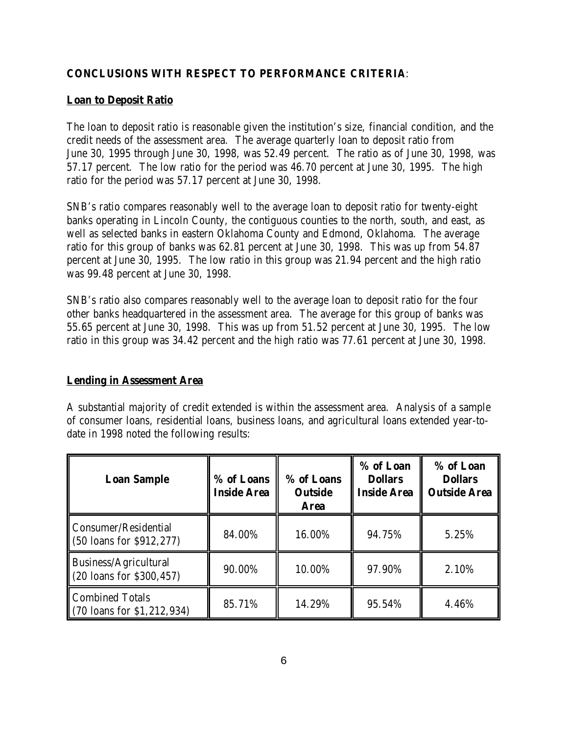### **CONCLUSIONS WITH RESPECT TO PERFORMANCE CRITERIA**:

#### **Loan to Deposit Ratio**

The loan to deposit ratio is reasonable given the institution's size, financial condition, and the credit needs of the assessment area. The average quarterly loan to deposit ratio from June 30, 1995 through June 30, 1998, was 52.49 percent. The ratio as of June 30, 1998, was 57.17 percent. The low ratio for the period was 46.70 percent at June 30, 1995. The high ratio for the period was 57.17 percent at June 30, 1998.

SNB's ratio compares reasonably well to the average loan to deposit ratio for twenty-eight banks operating in Lincoln County, the contiguous counties to the north, south, and east, as well as selected banks in eastern Oklahoma County and Edmond, Oklahoma. The average ratio for this group of banks was 62.81 percent at June 30, 1998. This was up from 54.87 percent at June 30, 1995. The low ratio in this group was 21.94 percent and the high ratio was 99.48 percent at June 30, 1998.

SNB's ratio also compares reasonably well to the average loan to deposit ratio for the four other banks headquartered in the assessment area. The average for this group of banks was 55.65 percent at June 30, 1998. This was up from 51.52 percent at June 30, 1995. The low ratio in this group was 34.42 percent and the high ratio was 77.61 percent at June 30, 1998.

#### **Lending in Assessment Area**

A substantial majority of credit extended is within the assessment area. Analysis of a sample of consumer loans, residential loans, business loans, and agricultural loans extended year-todate in 1998 noted the following results:

| <b>Loan Sample</b>                                             | % of Loans<br><b>Inside Area</b> | % of Loans<br><b>Outside</b><br><b>Area</b> | % of Loan<br><b>Dollars</b><br><b>Inside Area</b> | % of Loan<br><b>Dollars</b><br><b>Outside Area</b> |
|----------------------------------------------------------------|----------------------------------|---------------------------------------------|---------------------------------------------------|----------------------------------------------------|
| Consumer/Residential<br>$(50 \text{ loans}$ for \$912,277)     | 84.00%                           | 16.00%                                      | 94.75%                                            | 5.25%                                              |
| Business/Agricultural<br>$(20 \text{ loans for } $300,457)$    | 90.00%                           | 10.00%                                      | 97.90%                                            | 2.10%                                              |
| <b>Combined Totals</b><br>$(70 \text{ loans for } $1,212,934)$ | 85.71%                           | 14.29%                                      | 95.54%                                            | 4.46%                                              |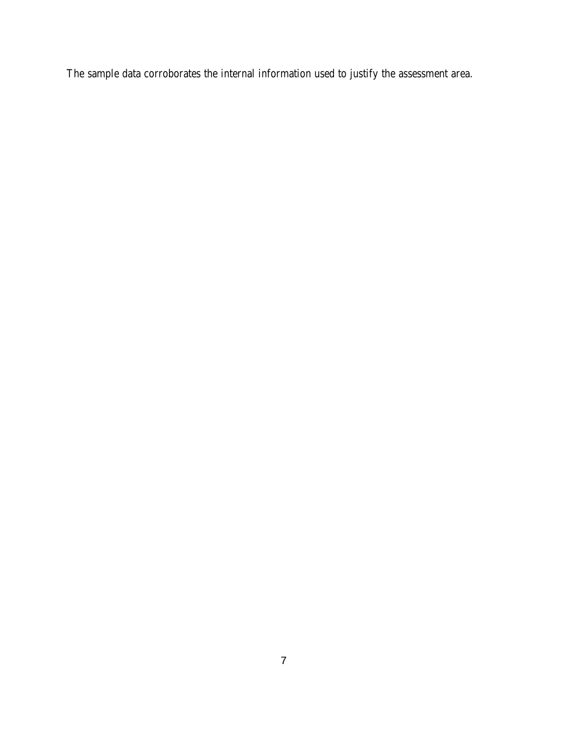The sample data corroborates the internal information used to justify the assessment area.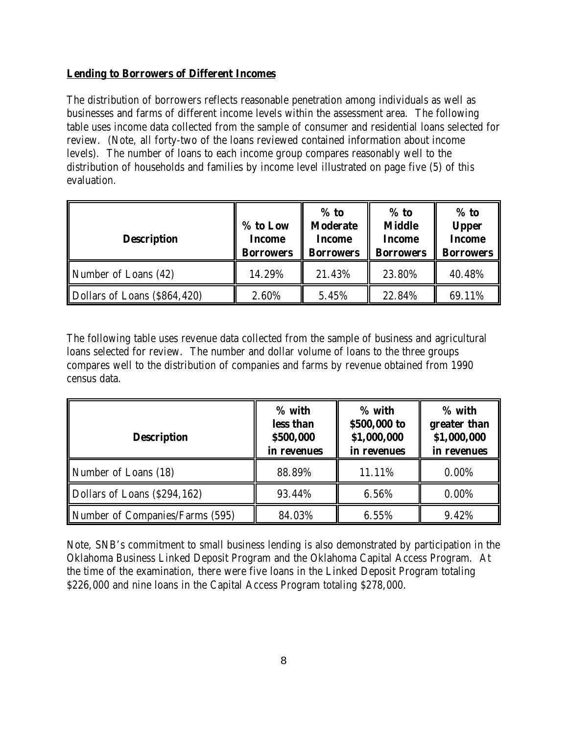#### **Lending to Borrowers of Different Incomes**

The distribution of borrowers reflects reasonable penetration among individuals as well as businesses and farms of different income levels within the assessment area. The following table uses income data collected from the sample of consumer and residential loans selected for review. (Note, all forty-two of the loans reviewed contained information about income levels). The number of loans to each income group compares reasonably well to the distribution of households and families by income level illustrated on page five (5) of this evaluation.

| <b>Description</b>           | % to Low<br><b>Income</b><br><b>Borrowers</b> | $%$ to<br><b>Moderate</b><br><b>Income</b><br><b>Borrowers</b> | $%$ to<br><b>Middle</b><br><b>Income</b><br><b>Borrowers</b> | $%$ to<br><b>Upper</b><br><b>Income</b><br><b>Borrowers</b> |
|------------------------------|-----------------------------------------------|----------------------------------------------------------------|--------------------------------------------------------------|-------------------------------------------------------------|
| Number of Loans (42)         | 14.29%                                        | 21.43%                                                         | 23.80%                                                       | 40.48%                                                      |
| Dollars of Loans (\$864,420) | 2.60%                                         | 5.45%                                                          | 22.84%                                                       | 69.11%                                                      |

The following table uses revenue data collected from the sample of business and agricultural loans selected for review. The number and dollar volume of loans to the three groups compares well to the distribution of companies and farms by revenue obtained from 1990 census data.

| <b>Description</b>              | % with<br>less than<br>\$500,000<br>in revenues | % with<br>\$500,000 to<br>\$1,000,000<br>in revenues | % with<br>greater than<br>\$1,000,000<br>in revenues |
|---------------------------------|-------------------------------------------------|------------------------------------------------------|------------------------------------------------------|
| Number of Loans (18)            | 88.89%                                          | 11.11%                                               | $0.00\%$                                             |
| Dollars of Loans (\$294,162)    | 93.44%                                          | 6.56%                                                | $0.00\%$                                             |
| Number of Companies/Farms (595) | 84.03%                                          | 6.55%                                                | 9.42%                                                |

Note, SNB's commitment to small business lending is also demonstrated by participation in the Oklahoma Business Linked Deposit Program and the Oklahoma Capital Access Program. At the time of the examination, there were five loans in the Linked Deposit Program totaling \$226,000 and nine loans in the Capital Access Program totaling \$278,000.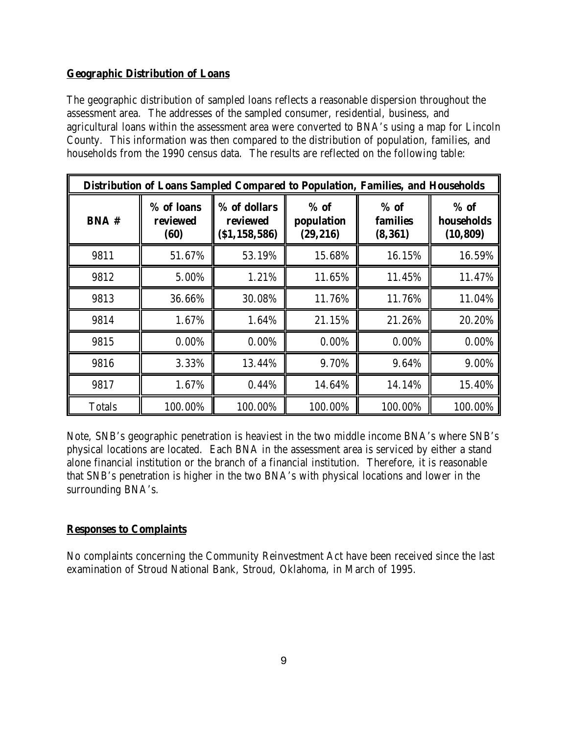#### **Geographic Distribution of Loans**

The geographic distribution of sampled loans reflects a reasonable dispersion throughout the assessment area. The addresses of the sampled consumer, residential, business, and agricultural loans within the assessment area were converted to BNA's using a map for Lincoln County. This information was then compared to the distribution of population, families, and households from the 1990 census data. The results are reflected on the following table:

| Distribution of Loans Sampled Compared to Population, Families, and Households |                                |                                            |                                   |                                       |                                   |
|--------------------------------------------------------------------------------|--------------------------------|--------------------------------------------|-----------------------------------|---------------------------------------|-----------------------------------|
| <b>BNA#</b>                                                                    | % of loans<br>reviewed<br>(60) | % of dollars<br>reviewed<br>(S1, 158, 586) | $%$ of<br>population<br>(29, 216) | $%$ of<br><b>families</b><br>(8, 361) | $%$ of<br>households<br>(10, 809) |
| 9811                                                                           | 51.67%                         | 53.19%                                     | 15.68%                            | 16.15%                                | 16.59%                            |
| 9812                                                                           | 5.00%                          | 1.21%                                      | 11.65%                            | 11.45%                                | 11.47%                            |
| 9813                                                                           | 36.66%                         | 30.08%                                     | 11.76%                            | 11.76%                                | 11.04%                            |
| 9814                                                                           | 1.67%                          | 1.64%                                      | 21.15%                            | 21.26%                                | 20.20%                            |
| 9815                                                                           | 0.00%                          | 0.00%                                      | 0.00%                             | $0.00\%$                              | 0.00%                             |
| 9816                                                                           | 3.33%                          | 13.44%                                     | 9.70%                             | 9.64%                                 | 9.00%                             |
| 9817                                                                           | 1.67%                          | 0.44%                                      | 14.64%                            | 14.14%                                | 15.40%                            |
| <b>Totals</b>                                                                  | 100.00%                        | 100.00%                                    | 100.00%                           | 100.00%                               | 100.00%                           |

Note, SNB's geographic penetration is heaviest in the two middle income BNA's where SNB's physical locations are located. Each BNA in the assessment area is serviced by either a stand alone financial institution or the branch of a financial institution. Therefore, it is reasonable that SNB's penetration is higher in the two BNA's with physical locations and lower in the surrounding BNA's.

## **Responses to Complaints**

No complaints concerning the Community Reinvestment Act have been received since the last examination of Stroud National Bank, Stroud, Oklahoma, in March of 1995.